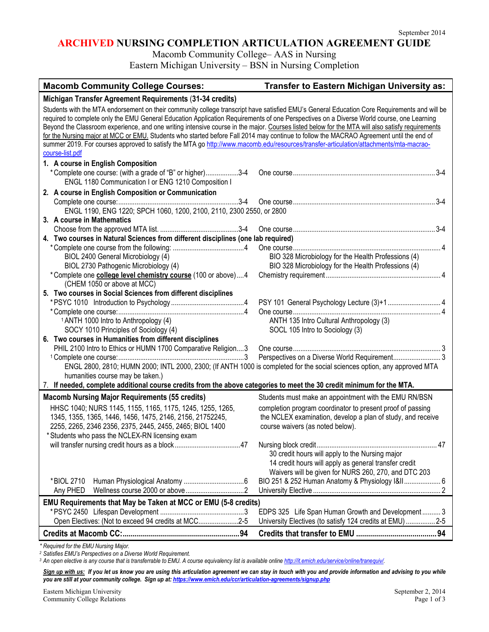٦

## **ARCHIVED NURSING COMPLETION ARTICULATION AGREEMENT GUIDE**

Macomb Community College– AAS in Nursing

Eastern Michigan University – BSN in Nursing Completion

| <b>Macomb Community College Courses:</b>                                                                                                        | <b>Transfer to Eastern Michigan University as:</b>          |  |
|-------------------------------------------------------------------------------------------------------------------------------------------------|-------------------------------------------------------------|--|
| Michigan Transfer Agreement Requirements (31-34 credits)                                                                                        |                                                             |  |
| Students with the MTA endorsement on their community college transcript have satisfied EMU's General Education Core Requirements and will be    |                                                             |  |
| required to complete only the EMU General Education Application Requirements of one Perspectives on a Diverse World course, one Learning        |                                                             |  |
| Beyond the Classroom experience, and one writing intensive course in the major. Courses listed below for the MTA will also satisfy requirements |                                                             |  |
| for the Nursing major at MCC or EMU. Students who started before Fall 2014 may continue to follow the MACRAO Agreement until the end of         |                                                             |  |
| summer 2019. For courses approved to satisfy the MTA go http://www.macomb.edu/resources/transfer-articulation/attachments/mta-macrao-           |                                                             |  |
| course-list.pdf                                                                                                                                 |                                                             |  |
| 1. A course in English Composition                                                                                                              |                                                             |  |
| *Complete one course: (with a grade of "B" or higher)3-4                                                                                        |                                                             |  |
| ENGL 1180 Communication I or ENG 1210 Composition I                                                                                             |                                                             |  |
| 2. A course in English Composition or Communication                                                                                             |                                                             |  |
|                                                                                                                                                 | $3-4$                                                       |  |
| ENGL 1190, ENG 1220; SPCH 1060, 1200, 2100, 2110, 2300 2550, or 2800                                                                            |                                                             |  |
| 3. A course in Mathematics                                                                                                                      |                                                             |  |
|                                                                                                                                                 |                                                             |  |
| 4. Two courses in Natural Sciences from different disciplines (one lab required)                                                                |                                                             |  |
|                                                                                                                                                 |                                                             |  |
| BIOL 2400 General Microbiology (4)                                                                                                              | BIO 328 Microbiology for the Health Professions (4)         |  |
| BIOL 2730 Pathogenic Microbiology (4)                                                                                                           | BIO 328 Microbiology for the Health Professions (4)         |  |
| *Complete one college level chemistry course (100 or above) 4                                                                                   |                                                             |  |
| (CHEM 1050 or above at MCC)                                                                                                                     |                                                             |  |
| 5. Two courses in Social Sciences from different disciplines                                                                                    |                                                             |  |
|                                                                                                                                                 |                                                             |  |
|                                                                                                                                                 |                                                             |  |
| <sup>1</sup> ANTH 1000 Intro to Anthropology (4)                                                                                                | ANTH 135 Intro Cultural Anthropology (3)                    |  |
| SOCY 1010 Principles of Sociology (4)                                                                                                           | SOCL 105 Intro to Sociology (3)                             |  |
| 6. Two courses in Humanities from different disciplines                                                                                         |                                                             |  |
| PHIL 2100 Intro to Ethics or HUMN 1700 Comparative Religion3                                                                                    |                                                             |  |
|                                                                                                                                                 |                                                             |  |
| ENGL 2800, 2810; HUMN 2000; INTL 2000, 2300; (If ANTH 1000 is completed for the social sciences option, any approved MTA                        |                                                             |  |
| humanities course may be taken.)                                                                                                                |                                                             |  |
| 7. If needed, complete additional course credits from the above categories to meet the 30 credit minimum for the MTA.                           |                                                             |  |
| <b>Macomb Nursing Major Requirements (55 credits)</b>                                                                                           | Students must make an appointment with the EMU RN/BSN       |  |
| HHSC 1040; NURS 1145, 1155, 1165, 1175, 1245, 1255, 1265,                                                                                       | completion program coordinator to present proof of passing  |  |
| 1345, 1355, 1365, 1446, 1456, 1475, 2146, 2156, 21752245,                                                                                       | the NCLEX examination, develop a plan of study, and receive |  |
| 2255, 2265, 2346 2356, 2375, 2445, 2455, 2465; BIOL 1400                                                                                        | course waivers (as noted below).                            |  |
| * Students who pass the NCLEX-RN licensing exam                                                                                                 |                                                             |  |
|                                                                                                                                                 |                                                             |  |
|                                                                                                                                                 | 30 credit hours will apply to the Nursing major             |  |
|                                                                                                                                                 | 14 credit hours will apply as general transfer credit       |  |
|                                                                                                                                                 | Waivers will be given for NURS 260, 270, and DTC 203        |  |
| *BIOL 2710                                                                                                                                      | BIO 251 & 252 Human Anatomy & Physiology I&II 6             |  |
| Any PHED                                                                                                                                        |                                                             |  |
| EMU Requirements that May be Taken at MCC or EMU (5-8 credits)                                                                                  |                                                             |  |
|                                                                                                                                                 | EDPS 325 Life Span Human Growth and Development 3           |  |
| Open Electives: (Not to exceed 94 credits at MCC2-5                                                                                             | University Electives (to satisfy 124 credits at EMU)  2-5   |  |
|                                                                                                                                                 |                                                             |  |
|                                                                                                                                                 |                                                             |  |

*\* Required for the EMU Nursing Major.* 

*<sup>2</sup> Satisfies EMU's Perspectives on a Diverse World Requirement.*

*<sup>3</sup> An open elective is any course that is transferrable to EMU. A course equivalency list is available onlin[e http://it.emich.edu/service/online/tranequiv/.](http://it.emich.edu/service/online/tranequiv/)*

Sign up with us: If you let us know you are using this articulation agreement we can stay in touch with you and provide information and advising to you while *you are still at your community college. Sign up at[: https://www.emich.edu/ccr/articulation-agreements/signup.php](https://www.emich.edu/ccr/articulation-agreements/signup.php)*

Eastern Michigan University<br>
Community College Relations<br>
Page 1 of 3 Community College Relations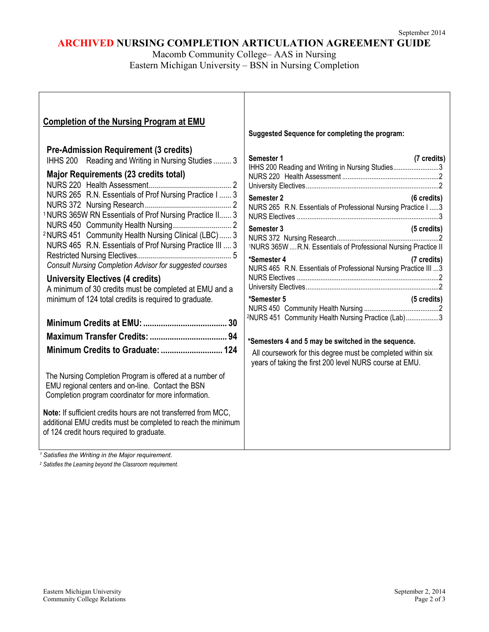# **ARCHIVED NURSING COMPLETION ARTICULATION AGREEMENT GUIDE**

Macomb Community College– AAS in Nursing Eastern Michigan University – BSN in Nursing Completion

| <b>Completion of the Nursing Program at EMU</b>                                                                                                                                                                                                                                                                                                                                                                                                                                                                                                                                                                                                                                                                                                                                                                                                                                                                                                                                                       | Suggested Sequence for completing the program:                                                                                                                                                                                                                                                                                                                                                                                                                                                                                                                                                                                                                             |
|-------------------------------------------------------------------------------------------------------------------------------------------------------------------------------------------------------------------------------------------------------------------------------------------------------------------------------------------------------------------------------------------------------------------------------------------------------------------------------------------------------------------------------------------------------------------------------------------------------------------------------------------------------------------------------------------------------------------------------------------------------------------------------------------------------------------------------------------------------------------------------------------------------------------------------------------------------------------------------------------------------|----------------------------------------------------------------------------------------------------------------------------------------------------------------------------------------------------------------------------------------------------------------------------------------------------------------------------------------------------------------------------------------------------------------------------------------------------------------------------------------------------------------------------------------------------------------------------------------------------------------------------------------------------------------------------|
| <b>Pre-Admission Requirement (3 credits)</b><br>IHHS 200 Reading and Writing in Nursing Studies 3<br>Major Requirements (23 credits total)<br>NURS 265 R.N. Essentials of Prof Nursing Practice I  3<br><sup>1</sup> NURS 365W RN Essentials of Prof Nursing Practice II 3<br><sup>2</sup> NURS 451 Community Health Nursing Clinical (LBC)  3<br>NURS 465 R.N. Essentials of Prof Nursing Practice III  3<br><b>Consult Nursing Completion Advisor for suggested courses</b><br><b>University Electives (4 credits)</b><br>A minimum of 30 credits must be completed at EMU and a<br>minimum of 124 total credits is required to graduate.<br>The Nursing Completion Program is offered at a number of<br>EMU regional centers and on-line. Contact the BSN<br>Completion program coordinator for more information.<br>Note: If sufficient credits hours are not transferred from MCC,<br>additional EMU credits must be completed to reach the minimum<br>of 124 credit hours required to graduate. | Semester 1<br>(7 credits)<br>IHHS 200 Reading and Writing in Nursing Studies3<br>Semester 2<br>(6 credits)<br>NURS 265 R.N. Essentials of Professional Nursing Practice I  3<br>Semester 3<br>(5 credits)<br><sup>1</sup> NURS 365W  R.N. Essentials of Professional Nursing Practice II<br>*Semester 4<br>(7 credits)<br>NURS 465 R.N. Essentials of Professional Nursing Practice III 3<br>*Semester 5<br>(5 credits)<br><sup>2</sup> NURS 451 Community Health Nursing Practice (Lab)3<br>*Semesters 4 and 5 may be switched in the sequence.<br>All coursework for this degree must be completed within six<br>years of taking the first 200 level NURS course at EMU. |
|                                                                                                                                                                                                                                                                                                                                                                                                                                                                                                                                                                                                                                                                                                                                                                                                                                                                                                                                                                                                       |                                                                                                                                                                                                                                                                                                                                                                                                                                                                                                                                                                                                                                                                            |

*<sup>1</sup> Satisfies the Writing in the Major requirement.*

 $\lceil$ 

*<sup>2</sup> Satisfies the Learning beyond the Classroom requirement.*